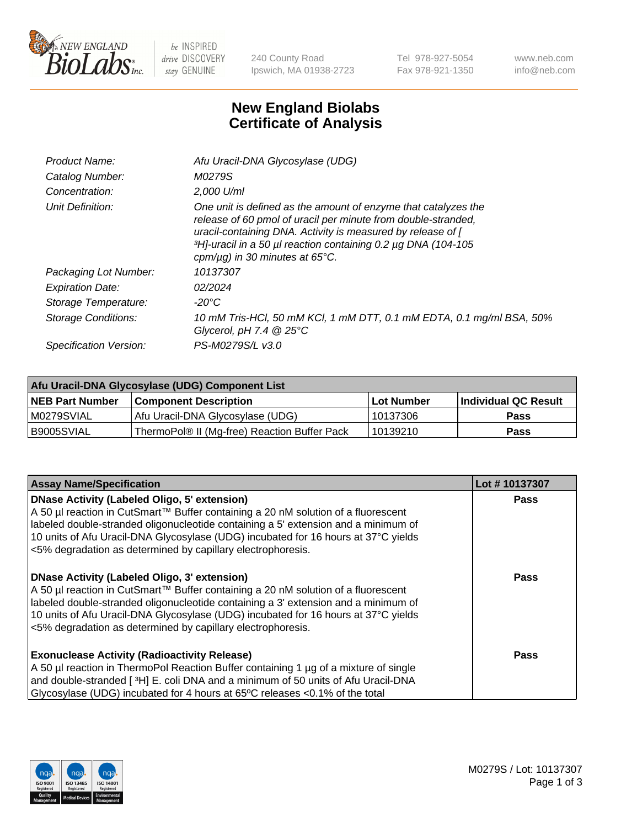

 $be$  INSPIRED drive DISCOVERY stay GENUINE

240 County Road Ipswich, MA 01938-2723 Tel 978-927-5054 Fax 978-921-1350 www.neb.com info@neb.com

## **New England Biolabs Certificate of Analysis**

| Afu Uracil-DNA Glycosylase (UDG)                                                                                                                                                                                                                                                                                     |
|----------------------------------------------------------------------------------------------------------------------------------------------------------------------------------------------------------------------------------------------------------------------------------------------------------------------|
| M0279S                                                                                                                                                                                                                                                                                                               |
| $2.000$ U/ml                                                                                                                                                                                                                                                                                                         |
| One unit is defined as the amount of enzyme that catalyzes the<br>release of 60 pmol of uracil per minute from double-stranded,<br>uracil-containing DNA. Activity is measured by release of [<br>3H <sub>1</sub> -uracil in a 50 µl reaction containing 0.2 µg DNA (104-105<br>cpm/ $\mu$ g) in 30 minutes at 65°C. |
| 10137307                                                                                                                                                                                                                                                                                                             |
| 02/2024                                                                                                                                                                                                                                                                                                              |
| -20°C                                                                                                                                                                                                                                                                                                                |
| 10 mM Tris-HCl, 50 mM KCl, 1 mM DTT, 0.1 mM EDTA, 0.1 mg/ml BSA, 50%<br>Glycerol, pH 7.4 $@25^{\circ}C$                                                                                                                                                                                                              |
| PS-M0279S/L v3.0                                                                                                                                                                                                                                                                                                     |
|                                                                                                                                                                                                                                                                                                                      |

| Afu Uracil-DNA Glycosylase (UDG) Component List |                                              |                   |                      |  |  |
|-------------------------------------------------|----------------------------------------------|-------------------|----------------------|--|--|
| <b>NEB Part Number</b>                          | <b>Component Description</b>                 | <b>Lot Number</b> | Individual QC Result |  |  |
| IM0279SVIAL                                     | Afu Uracil-DNA Glycosylase (UDG)             | 10137306          | <b>Pass</b>          |  |  |
| I B9005SVIAL                                    | ThermoPol® II (Mg-free) Reaction Buffer Pack | 10139210          | Pass                 |  |  |

| <b>Assay Name/Specification</b>                                                                                                                                                                                                                                                                                                                                                     | Lot #10137307 |
|-------------------------------------------------------------------------------------------------------------------------------------------------------------------------------------------------------------------------------------------------------------------------------------------------------------------------------------------------------------------------------------|---------------|
| <b>DNase Activity (Labeled Oligo, 5' extension)</b><br>A 50 µl reaction in CutSmart™ Buffer containing a 20 nM solution of a fluorescent<br>labeled double-stranded oligonucleotide containing a 5' extension and a minimum of<br>10 units of Afu Uracil-DNA Glycosylase (UDG) incubated for 16 hours at 37°C yields<br><5% degradation as determined by capillary electrophoresis. | <b>Pass</b>   |
| <b>DNase Activity (Labeled Oligo, 3' extension)</b><br>A 50 µl reaction in CutSmart™ Buffer containing a 20 nM solution of a fluorescent<br>labeled double-stranded oligonucleotide containing a 3' extension and a minimum of<br>10 units of Afu Uracil-DNA Glycosylase (UDG) incubated for 16 hours at 37°C yields<br><5% degradation as determined by capillary electrophoresis. | Pass          |
| <b>Exonuclease Activity (Radioactivity Release)</b><br>A 50 µl reaction in ThermoPol Reaction Buffer containing 1 µg of a mixture of single<br>and double-stranded [3H] E. coli DNA and a minimum of 50 units of Afu Uracil-DNA<br>Glycosylase (UDG) incubated for 4 hours at 65°C releases <0.1% of the total                                                                      | Pass          |

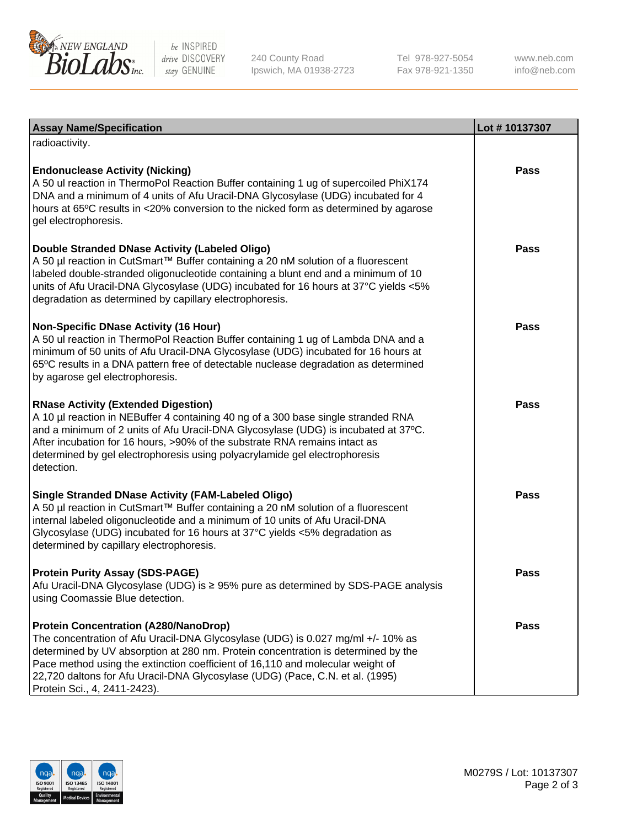

be INSPIRED drive DISCOVERY stay GENUINE

240 County Road Ipswich, MA 01938-2723 Tel 978-927-5054 Fax 978-921-1350

www.neb.com info@neb.com

| <b>Assay Name/Specification</b>                                                                                                                                                                                                                                                                                                                                                                                         | Lot #10137307 |
|-------------------------------------------------------------------------------------------------------------------------------------------------------------------------------------------------------------------------------------------------------------------------------------------------------------------------------------------------------------------------------------------------------------------------|---------------|
| radioactivity.                                                                                                                                                                                                                                                                                                                                                                                                          |               |
| <b>Endonuclease Activity (Nicking)</b><br>A 50 ul reaction in ThermoPol Reaction Buffer containing 1 ug of supercoiled PhiX174<br>DNA and a minimum of 4 units of Afu Uracil-DNA Glycosylase (UDG) incubated for 4<br>hours at 65°C results in <20% conversion to the nicked form as determined by agarose<br>gel electrophoresis.                                                                                      | <b>Pass</b>   |
| Double Stranded DNase Activity (Labeled Oligo)<br>A 50 µl reaction in CutSmart™ Buffer containing a 20 nM solution of a fluorescent<br>labeled double-stranded oligonucleotide containing a blunt end and a minimum of 10<br>units of Afu Uracil-DNA Glycosylase (UDG) incubated for 16 hours at 37°C yields <5%<br>degradation as determined by capillary electrophoresis.                                             | <b>Pass</b>   |
| <b>Non-Specific DNase Activity (16 Hour)</b><br>A 50 ul reaction in ThermoPol Reaction Buffer containing 1 ug of Lambda DNA and a<br>minimum of 50 units of Afu Uracil-DNA Glycosylase (UDG) incubated for 16 hours at<br>65°C results in a DNA pattern free of detectable nuclease degradation as determined<br>by agarose gel electrophoresis.                                                                        | <b>Pass</b>   |
| <b>RNase Activity (Extended Digestion)</b><br>A 10 µl reaction in NEBuffer 4 containing 40 ng of a 300 base single stranded RNA<br>and a minimum of 2 units of Afu Uracil-DNA Glycosylase (UDG) is incubated at 37°C.<br>After incubation for 16 hours, >90% of the substrate RNA remains intact as<br>determined by gel electrophoresis using polyacrylamide gel electrophoresis<br>detection.                         | <b>Pass</b>   |
| <b>Single Stranded DNase Activity (FAM-Labeled Oligo)</b><br>A 50 µl reaction in CutSmart™ Buffer containing a 20 nM solution of a fluorescent<br>internal labeled oligonucleotide and a minimum of 10 units of Afu Uracil-DNA<br>Glycosylase (UDG) incubated for 16 hours at 37°C yields <5% degradation as<br>determined by capillary electrophoresis.                                                                | <b>Pass</b>   |
| <b>Protein Purity Assay (SDS-PAGE)</b><br>Afu Uracil-DNA Glycosylase (UDG) is ≥ 95% pure as determined by SDS-PAGE analysis<br>using Coomassie Blue detection.                                                                                                                                                                                                                                                          | <b>Pass</b>   |
| <b>Protein Concentration (A280/NanoDrop)</b><br>The concentration of Afu Uracil-DNA Glycosylase (UDG) is 0.027 mg/ml +/- 10% as<br>determined by UV absorption at 280 nm. Protein concentration is determined by the<br>Pace method using the extinction coefficient of 16,110 and molecular weight of<br>22,720 daltons for Afu Uracil-DNA Glycosylase (UDG) (Pace, C.N. et al. (1995)<br>Protein Sci., 4, 2411-2423). | Pass          |